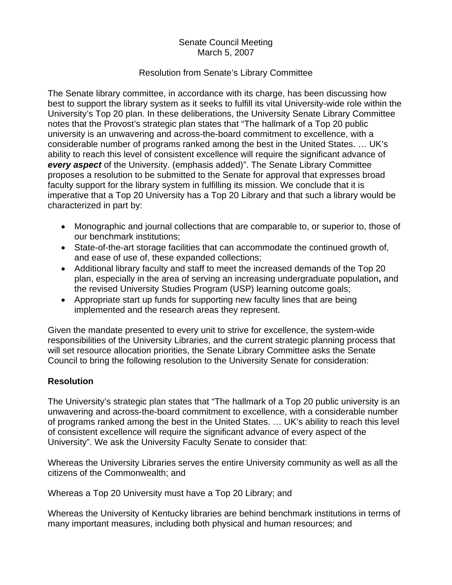## Senate Council Meeting March 5, 2007

## Resolution from Senate's Library Committee

The Senate library committee, in accordance with its charge, has been discussing how best to support the library system as it seeks to fulfill its vital University-wide role within the University's Top 20 plan. In these deliberations, the University Senate Library Committee notes that the Provost's strategic plan states that "The hallmark of a Top 20 public university is an unwavering and across-the-board commitment to excellence, with a considerable number of programs ranked among the best in the United States. … UK's ability to reach this level of consistent excellence will require the significant advance of *every aspect* of the University. (emphasis added)". The Senate Library Committee proposes a resolution to be submitted to the Senate for approval that expresses broad faculty support for the library system in fulfilling its mission. We conclude that it is imperative that a Top 20 University has a Top 20 Library and that such a library would be characterized in part by:

- Monographic and journal collections that are comparable to, or superior to, those of our benchmark institutions;
- State-of-the-art storage facilities that can accommodate the continued growth of, and ease of use of, these expanded collections;
- Additional library faculty and staff to meet the increased demands of the Top 20 plan, especially in the area of serving an increasing undergraduate population**,** and the revised University Studies Program (USP) learning outcome goals;
- Appropriate start up funds for supporting new faculty lines that are being implemented and the research areas they represent.

Given the mandate presented to every unit to strive for excellence, the system-wide responsibilities of the University Libraries, and the current strategic planning process that will set resource allocation priorities, the Senate Library Committee asks the Senate Council to bring the following resolution to the University Senate for consideration:

## **Resolution**

The University's strategic plan states that "The hallmark of a Top 20 public university is an unwavering and across-the-board commitment to excellence, with a considerable number of programs ranked among the best in the United States. … UK's ability to reach this level of consistent excellence will require the significant advance of every aspect of the University". We ask the University Faculty Senate to consider that:

Whereas the University Libraries serves the entire University community as well as all the citizens of the Commonwealth; and

Whereas a Top 20 University must have a Top 20 Library; and

Whereas the University of Kentucky libraries are behind benchmark institutions in terms of many important measures, including both physical and human resources; and